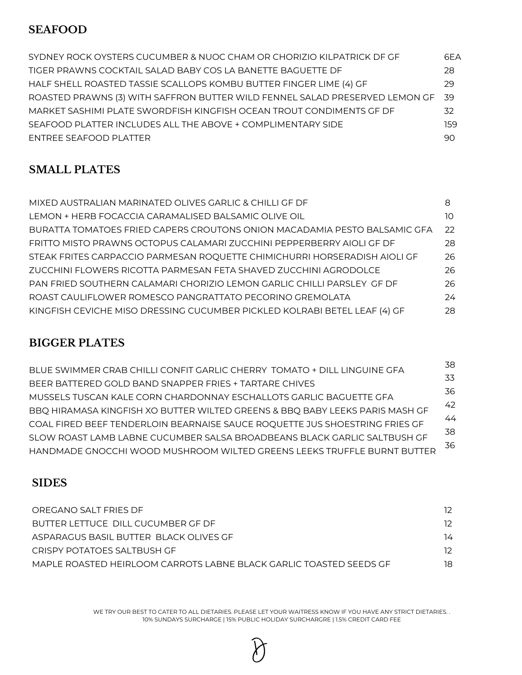### **SEAFOOD**

| SYDNEY ROCK OYSTERS CUCUMBER & NUOC CHAM OR CHORIZIO KILPATRICK DF GF          | 6FA |
|--------------------------------------------------------------------------------|-----|
| TIGER PRAWNS COCKTAIL SALAD BABY COS LA BANETTE BAGUETTE DF                    | 28  |
| HALF SHELL ROASTED TASSIE SCALLOPS KOMBU BUTTER FINGER LIME (4) GF             | 29  |
| ROASTED PRAWNS (3) WITH SAFFRON BUTTER WILD FENNEL SALAD PRESERVED LEMON GF 39 |     |
| MARKET SASHIMI PLATE SWORDFISH KINGFISH OCEAN TROUT CONDIMENTS GF DF           | 32  |
| SEAFOOD PLATTER INCLUDES ALL THE ABOVE + COMPLIMENTARY SIDE                    | 159 |
| ENTREE SEAFOOD PLATTER                                                         | 90  |

## **SMALL PLATES**

| MIXED AUSTRALIAN MARINATED OLIVES GARLIC & CHILLI GF DF                   | 8  |
|---------------------------------------------------------------------------|----|
| LEMON + HERB FOCACCIA CARAMALISED BALSAMIC OLIVE OIL                      | 10 |
| BURATTA TOMATOES FRIED CAPERS CROUTONS ONION MACADAMIA PESTO BALSAMIC GFA | 22 |
| FRITTO MISTO PRAWNS OCTOPUS CALAMARI ZUCCHINI PEPPERBERRY AIOLI GF DF     | 28 |
| STEAK FRITES CARPACCIO PARMESAN ROQUETTE CHIMICHURRI HORSERADISH AIOLI GF | 26 |
| ZUCCHINI FLOWERS RICOTTA PARMESAN FETA SHAVED ZUCCHINI AGRODOLCE          | 26 |
| PAN FRIED SOUTHERN CALAMARI CHORIZIO LEMON GARLIC CHILLI PARSLEY GF DF    | 26 |
| ROAST CAULIFLOWER ROMESCO PANGRATTATO PECORINO GREMOLATA                  | 24 |
| KINGFISH CEVICHE MISO DRESSING CUCUMBER PICKLED KOLRABI BETEL LEAF (4) GF | 28 |

## **BIGGER PLATES**

| BLUE SWIMMER CRAB CHILLI CONFIT GARLIC CHERRY TOMATO + DILL LINGUINE GFA     | 38. |
|------------------------------------------------------------------------------|-----|
| BEER BATTERED GOLD BAND SNAPPER FRIES + TARTARE CHIVES                       | 33  |
|                                                                              | 36  |
| MUSSELS TUSCAN KALE CORN CHARDONNAY ESCHALLOTS GARLIC BAGUETTE GFA           | 42  |
| BBQ HIRAMASA KINGFISH XO BUTTER WILTED GREENS & BBQ BABY LEEKS PARIS MASH GF | 44  |
| COAL FIRED BEEF TENDERLOIN BEARNAISE SAUCE ROQUETTE JUS SHOESTRING FRIES GF  |     |
| SLOW ROAST LAMB LABNE CUCUMBER SALSA BROADBEANS BLACK GARLIC SALTBUSH GF     | 38  |
| HANDMADE GNOCCHI WOOD MUSHROOM WILTED GREENS LEEKS TRUFFLE BURNT BUTTER      | 36  |
|                                                                              |     |

## **SIDES**

| OREGANO SALT FRIES DF                                              | 12. |
|--------------------------------------------------------------------|-----|
| BUTTER LETTUCE DILL CUCUMBER GF DF                                 | 12. |
| ASPARAGUS BASIL BUTTER BLACK OLIVES GE                             | 14  |
| CRISPY POTATOFS SAI TRUSH GF                                       | 12. |
| MAPLE ROASTED HEIRLOOM CARROTS LABNE BLACK GARLIC TOASTED SEEDS GE | 18  |

WE TRY OUR BEST TO CATER TO ALL DIETARIES. PLEASE LET YOUR WAITRESS KNOW IF YOU HAVE ANY STRICT DIETARIES. . 10% SUNDAYS SURCHARGE | 15% PUBLIC HOLIDAY SURCHARGRE | 1.5% CREDIT CARD FEE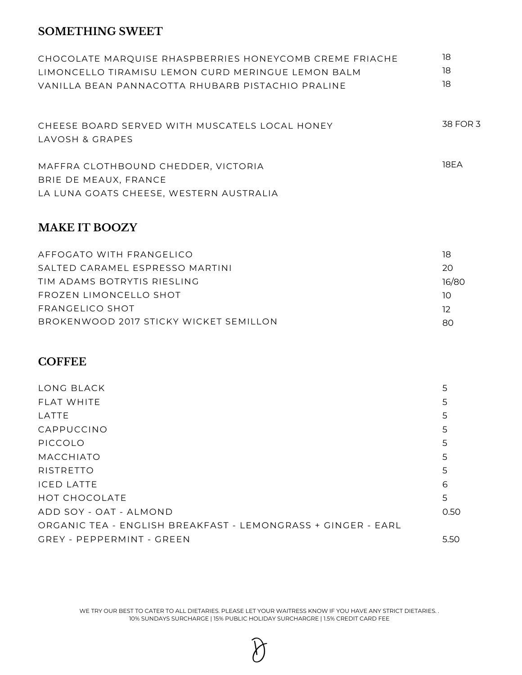#### **SOMETHING SWEET**

| CHOCOLATE MARQUISE RHASPBERRIES HONEYCOMB CREME FRIACHE | 18       |
|---------------------------------------------------------|----------|
| LIMONCELLO TIRAMISU LEMON CURD MERINGUE LEMON BALM      | 18       |
| VANILLA BEAN PANNACOTTA RHUBARB PISTACHIO PRALINE       | 18       |
|                                                         |          |
| CHEESE BOARD SERVED WITH MUSCATELS LOCAL HONEY          | 38 FOR 3 |
| LAVOSH & GRAPES                                         |          |
| MAFFRA CLOTHBOUND CHEDDER, VICTORIA                     | 18FA     |
| BRIE DE MEAUX, FRANCE                                   |          |
| LA LUNA GOATS CHEESE, WESTERN AUSTRALIA                 |          |
|                                                         |          |

#### **MAKE IT BOOZY**

| AFFOGATO WITH FRANGFLICO               | 18    |
|----------------------------------------|-------|
| SALTED CARAMEL ESPRESSO MARTINI        | 20    |
| TIM ADAMS BOTRYTIS RIESLING            | 16/80 |
| FROZEN LIMONCELLO SHOT                 | 1O.   |
| FRANGELICO SHOT                        | -12   |
| BROKENWOOD 2017 STICKY WICKET SEMILLON | ററ    |
|                                        |       |

### **COFFEE**

| LONG BLACK                                                   | 5    |
|--------------------------------------------------------------|------|
| FLAT WHITE                                                   | 5    |
| LATTE                                                        | 5    |
| CAPPUCCINO                                                   | 5    |
| PICCOLO                                                      | 5    |
| <b>MACCHIATO</b>                                             | 5    |
| <b>RISTRETTO</b>                                             | 5    |
| <b>ICED LATTE</b>                                            | 6    |
| <b>HOT CHOCOLATE</b>                                         | 5    |
| ADD SOY - OAT - ALMOND                                       | 0.50 |
| ORGANIC TEA - ENGLISH BREAKFAST - LEMONGRASS + GINGER - EARL |      |
| GREY - PEPPERMINT - GREEN                                    | 5.50 |

WE TRY OUR BEST TO CATER TO ALL DIETARIES. PLEASE LET YOUR WAITRESS KNOW IF YOU HAVE ANY STRICT DIETARIES. . 10% SUNDAYS SURCHARGE | 15% PUBLIC HOLIDAY SURCHARGRE | 1.5% CREDIT CARD FEE